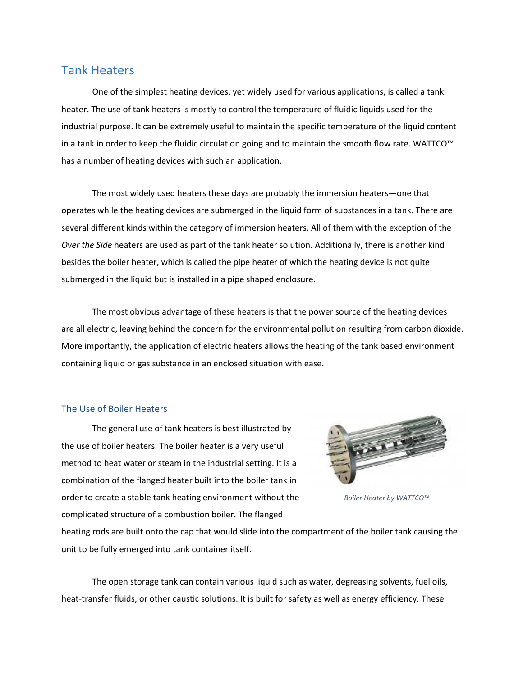## Tank Heaters

One of the simplest heating devices, yet widely used for various applications, is called a tank heater. The use of tank heaters is mostly to control the temperature of fluidic liquids used for the industrial purpose. It can be extremely useful to maintain the specific temperature of the liquid content in a tank in order to keep the fluidic circulation going and to maintain the smooth flow rate. WATTCO™ has a number of heating devices with such an application.

The most widely used heaters these days are probably the immersion heaters—one that operates while the heating devices are submerged in the liquid form of substances in a tank. There are several different kinds within the category of immersion heaters. All of them with the exception of the *Over the Side* heaters are used as part of the tank heater solution. Additionally, there is another kind besides the boiler heater, which is called the pipe heater of which the heating device is not quite submerged in the liquid but is installed in a pipe shaped enclosure.

The most obvious advantage of these heaters is that the power source of the heating devices are all electric, leaving behind the concern for the environmental pollution resulting from carbon dioxide. More importantly, the application of electric heaters allows the heating of the tank based environment containing liquid or gas substance in an enclosed situation with ease.

## The Use of Boiler Heaters

The general use of tank heaters is best illustrated by the use of boiler heaters. The boiler heater is a very useful method to heat water or steam in the industrial setting. It is a combination of the flanged heater built into the boiler tank in order to create a stable tank heating environment without the complicated structure of a combustion boiler. The flanged



*Boiler Heater by WATTCO™*

heating rods are built onto the cap that would slide into the compartment of the boiler tank causing the unit to be fully emerged into tank container itself.

The open storage tank can contain various liquid such as water, degreasing solvents, fuel oils, heat-transfer fluids, or other caustic solutions. It is built for safety as well as energy efficiency. These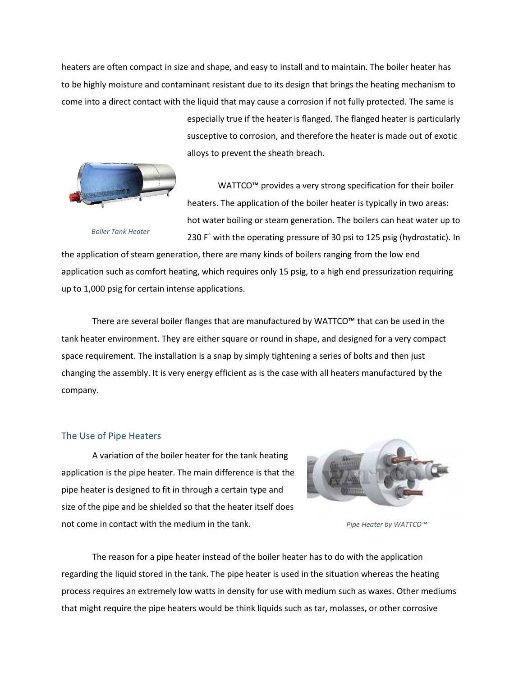heaters are often compact in size and shape, and easy to install and to maintain. The boiler heater has to be highly moisture and contaminant resistant due to its design that brings the heating mechanism to come into a direct contact with the liquid that may cause a corrosion if not fully protected. The same is

> especially true if the heater is flanged. The flanged heater is particularly susceptive to corrosion, and therefore the heater is made out of exotic alloys to prevent the sheath breach.



*Boiler Tank Heater*

WATTCO™ provides a very strong specification for their boiler heaters. The application of the boiler heater is typically in two areas: hot water boiling or steam generation. The boilers can heat water up to 230 F˚ with the operating pressure of 30 psi to 125 psig (hydrostatic). In

the application of steam generation, there are many kinds of boilers ranging from the low end application such as comfort heating, which requires only 15 psig, to a high end pressurization requiring up to 1,000 psig for certain intense applications.

There are several boiler flanges that are manufactured by WATTCO™ that can be used in the tank heater environment. They are either square or round in shape, and designed for a very compact space requirement. The installation is a snap by simply tightening a series of bolts and then just changing the assembly. It is very energy efficient as is the case with all heaters manufactured by the company.

## The Use of Pipe Heaters

A variation of the boiler heater for the tank heating application is the pipe heater. The main difference is that the pipe heater is designed to fit in through a certain type and size of the pipe and be shielded so that the heater itself does not come in contact with the medium in the tank.



*Pipe Heater by WATTCO™*

The reason for a pipe heater instead of the boiler heater has to do with the application regarding the liquid stored in the tank. The pipe heater is used in the situation whereas the heating process requires an extremely low watts in density for use with medium such as waxes. Other mediums that might require the pipe heaters would be think liquids such as tar, molasses, or other corrosive